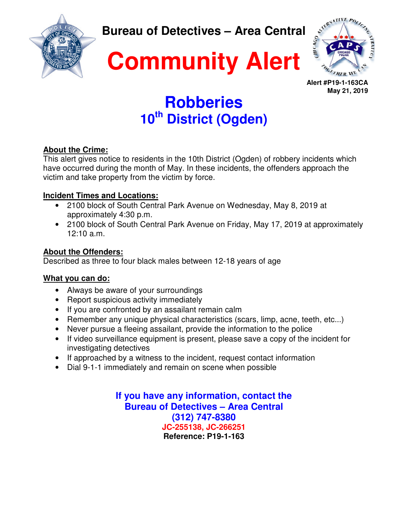

**Bureau of Detectives – Area Central** 





**Alert #P19-1-163CA May 21, 2019** 

## **Robberies 10th District (Ogden)**

#### **About the Crime:**

This alert gives notice to residents in the 10th District (Ogden) of robbery incidents which have occurred during the month of May. In these incidents, the offenders approach the victim and take property from the victim by force.

### **Incident Times and Locations:**

- 2100 block of South Central Park Avenue on Wednesday, May 8, 2019 at approximately 4:30 p.m.
- 2100 block of South Central Park Avenue on Friday, May 17, 2019 at approximately 12:10 a.m.

#### **About the Offenders:**

Described as three to four black males between 12-18 years of age

### **What you can do:**

- Always be aware of your surroundings
- Report suspicious activity immediately
- If you are confronted by an assailant remain calm
- Remember any unique physical characteristics (scars, limp, acne, teeth, etc...)
- Never pursue a fleeing assailant, provide the information to the police
- If video surveillance equipment is present, please save a copy of the incident for investigating detectives
- If approached by a witness to the incident, request contact information
- Dial 9-1-1 immediately and remain on scene when possible

**If you have any information, contact the Bureau of Detectives – Area Central (312) 747-8380 JC-255138, JC-266251 Reference: P19-1-163**